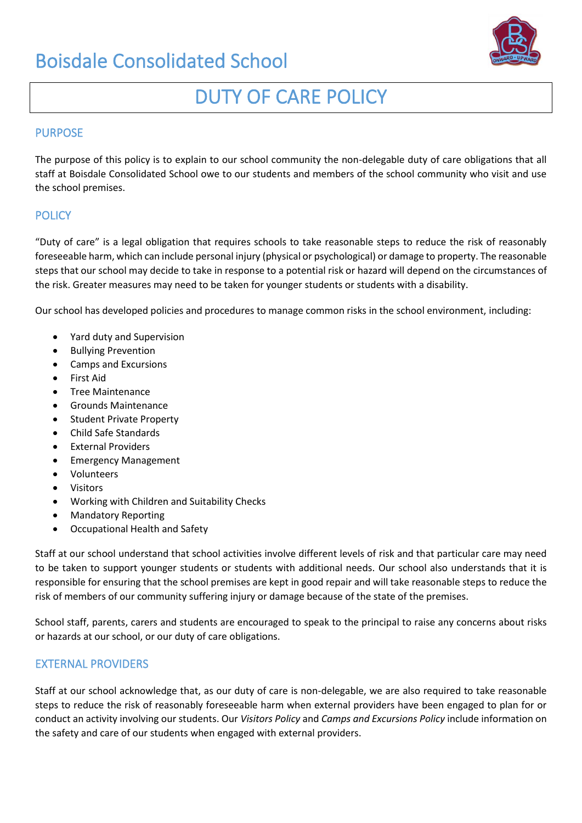# Boisdale Consolidated School



# DUTY OF CARE POLICY

#### PURPOSE

The purpose of this policy is to explain to our school community the non-delegable duty of care obligations that all staff at Boisdale Consolidated School owe to our students and members of the school community who visit and use the school premises.

## **POLICY**

"Duty of care" is a legal obligation that requires schools to take reasonable steps to reduce the risk of reasonably foreseeable harm, which can include personal injury (physical or psychological) or damage to property. The reasonable steps that our school may decide to take in response to a potential risk or hazard will depend on the circumstances of the risk. Greater measures may need to be taken for younger students or students with a disability.

Our school has developed policies and procedures to manage common risks in the school environment, including:

- Yard duty and Supervision
- Bullying Prevention
- Camps and Excursions
- First Aid
- Tree Maintenance
- Grounds Maintenance
- Student Private Property
- Child Safe Standards
- External Providers
- Emergency Management
- Volunteers
- **Visitors**
- Working with Children and Suitability Checks
- Mandatory Reporting
- Occupational Health and Safety

Staff at our school understand that school activities involve different levels of risk and that particular care may need to be taken to support younger students or students with additional needs. Our school also understands that it is responsible for ensuring that the school premises are kept in good repair and will take reasonable steps to reduce the risk of members of our community suffering injury or damage because of the state of the premises.

School staff, parents, carers and students are encouraged to speak to the principal to raise any concerns about risks or hazards at our school, or our duty of care obligations.

#### EXTERNAL PROVIDERS

Staff at our school acknowledge that, as our duty of care is non-delegable, we are also required to take reasonable steps to reduce the risk of reasonably foreseeable harm when external providers have been engaged to plan for or conduct an activity involving our students. Our *Visitors Policy* and *Camps and Excursions Policy* include information on the safety and care of our students when engaged with external providers.